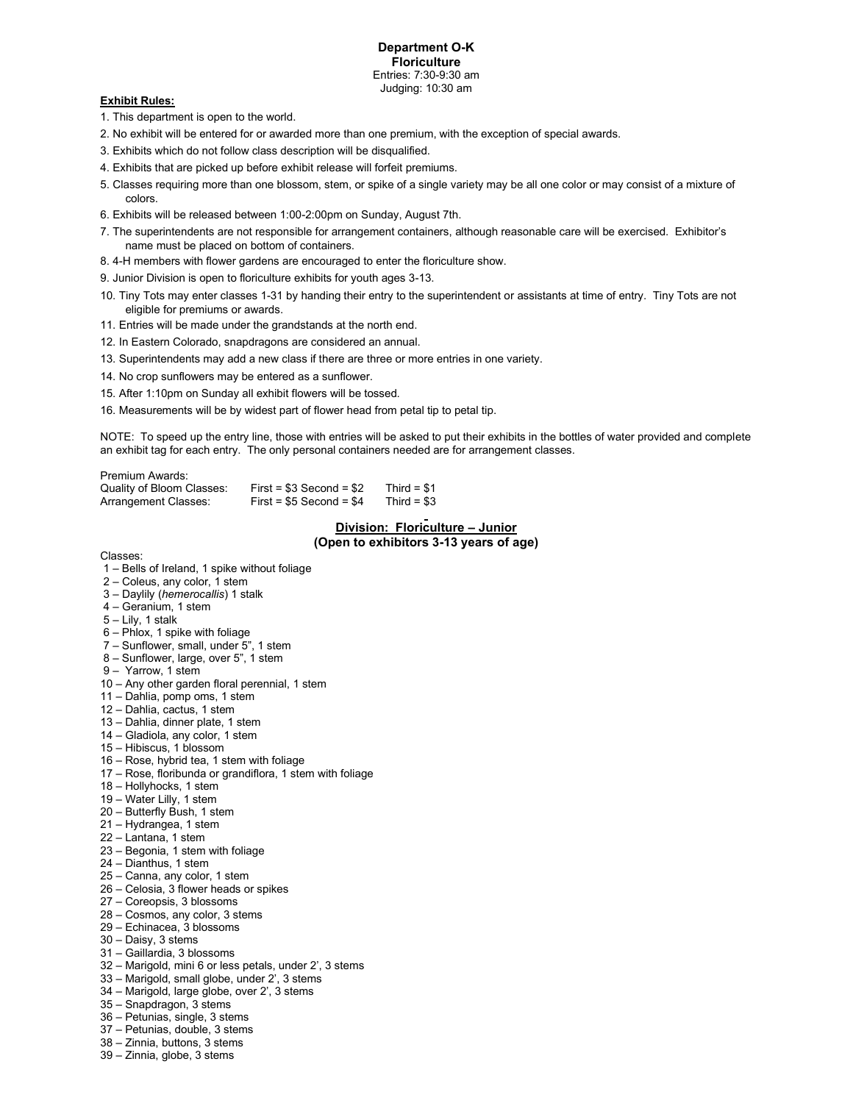# **Exhibit Rules:**

- 1. This department is open to the world.
- 2. No exhibit will be entered for or awarded more than one premium, with the exception of special awards.
- 3. Exhibits which do not follow class description will be disqualified.
- 4. Exhibits that are picked up before exhibit release will forfeit premiums.
- 5. Classes requiring more than one blossom, stem, or spike of a single variety may be all one color or may consist of a mixture of colors.
- 6. Exhibits will be released between 1:00-2:00pm on Sunday, August 7th.
- 7. The superintendents are not responsible for arrangement containers, although reasonable care will be exercised. Exhibitor's name must be placed on bottom of containers.
- 8. 4-H members with flower gardens are encouraged to enter the floriculture show.
- 9. Junior Division is open to floriculture exhibits for youth ages 3-13.
- 10. Tiny Tots may enter classes 1-31 by handing their entry to the superintendent or assistants at time of entry. Tiny Tots are not eligible for premiums or awards.
- 11. Entries will be made under the grandstands at the north end.
- 12. In Eastern Colorado, snapdragons are considered an annual.
- 13. Superintendents may add a new class if there are three or more entries in one variety.
- 14. No crop sunflowers may be entered as a sunflower.
- 15. After 1:10pm on Sunday all exhibit flowers will be tossed.
- 16. Measurements will be by widest part of flower head from petal tip to petal tip.

NOTE: To speed up the entry line, those with entries will be asked to put their exhibits in the bottles of water provided and complete an exhibit tag for each entry. The only personal containers needed are for arrangement classes.

| Premium Awards:           |                            |              |
|---------------------------|----------------------------|--------------|
| Quality of Bloom Classes: | $First = $3$ Second = $$2$ | Third = $$1$ |
| Arrangement Classes:      | $First = $5$ Second = $$4$ | Third = $$3$ |

# **Division: Floriculture – Junior (Open to exhibitors 3-13 years of age)**

Classes:

- 1 Bells of Ireland, 1 spike without foliage
- 2 Coleus, any color, 1 stem
- 3 Daylily (*hemerocallis*) 1 stalk
- 4 Geranium, 1 stem
- 5 Lily, 1 stalk
- 6 Phlox, 1 spike with foliage
- 7 Sunflower, small, under 5", 1 stem
- 8 Sunflower, large, over 5", 1 stem
- 9 Yarrow, 1 stem
- 10 Any other garden floral perennial, 1 stem
- 11 Dahlia, pomp oms, 1 stem
- 12 Dahlia, cactus, 1 stem
- 13 Dahlia, dinner plate, 1 stem
- 14 Gladiola, any color, 1 stem
- 15 Hibiscus, 1 blossom
- 16 Rose, hybrid tea, 1 stem with foliage
- 17 Rose, floribunda or grandiflora, 1 stem with foliage
- 18 Hollyhocks, 1 stem
- 19 Water Lilly, 1 stem
- 20 Butterfly Bush, 1 stem
- 21 Hydrangea, 1 stem
- 22 Lantana, 1 stem
- 23 Begonia, 1 stem with foliage
- 24 Dianthus, 1 stem
- 25 Canna, any color, 1 stem
- 26 Celosia, 3 flower heads or spikes
- 27 Coreopsis, 3 blossoms
- 28 Cosmos, any color, 3 stems
- 29 Echinacea, 3 blossoms
- 30 Daisy, 3 stems
- 31 Gaillardia, 3 blossoms
- 32 Marigold, mini 6 or less petals, under 2', 3 stems
- 33 Marigold, small globe, under 2', 3 stems
- 34 Marigold, large globe, over 2', 3 stems
- 35 Snapdragon, 3 stems
- 36 Petunias, single, 3 stems
- 37 Petunias, double, 3 stems
- 38 Zinnia, buttons, 3 stems
- 39 Zinnia, globe, 3 stems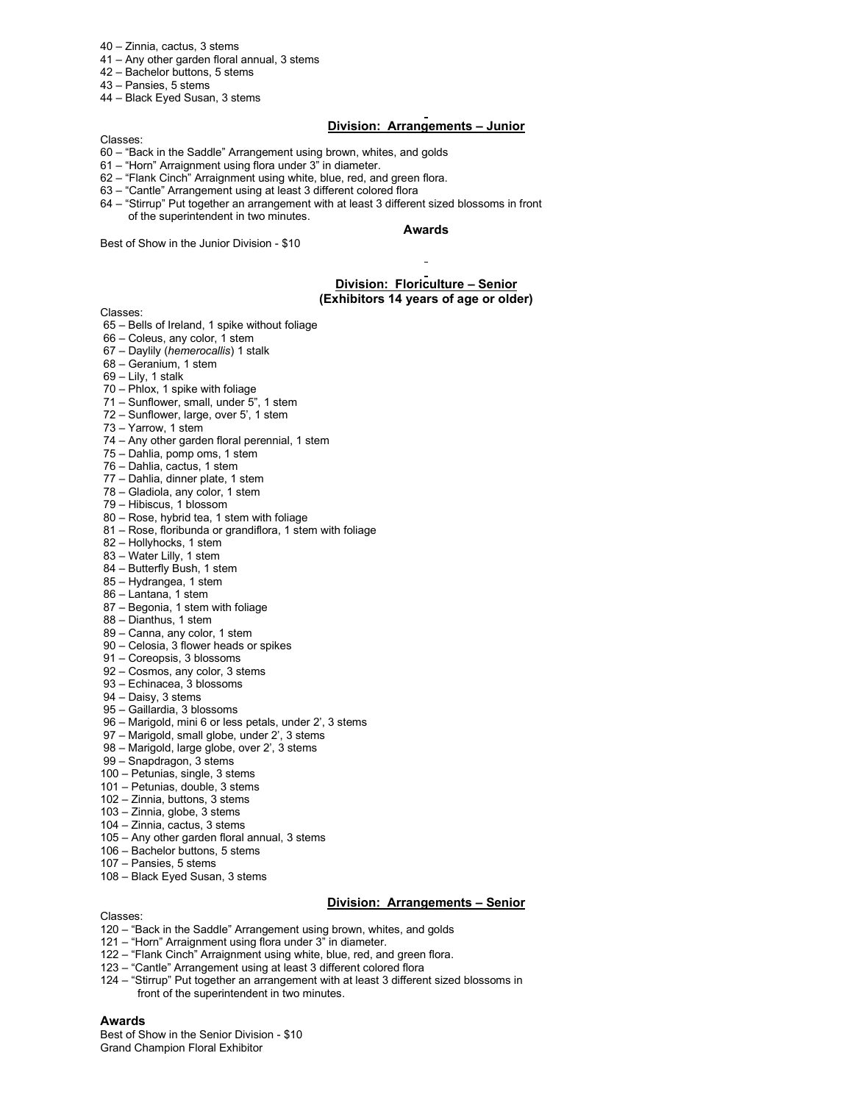- 40 Zinnia, cactus, 3 stems
- 41 Any other garden floral annual, 3 stems
- 42 Bachelor buttons, 5 stems
- 43 Pansies, 5 stems
- 44 Black Eyed Susan, 3 stems

# **Division: Arrangements – Junior**

Classes:

- 60 "Back in the Saddle" Arrangement using brown, whites, and golds
- 61 "Horn" Arraignment using flora under 3" in diameter.
- 62 "Flank Cinch" Arraignment using white, blue, red, and green flora.
- 63 "Cantle" Arrangement using at least 3 different colored flora
- 64 "Stirrup" Put together an arrangement with at least 3 different sized blossoms in front of the superintendent in two minutes.

# **Awards**

Best of Show in the Junior Division - \$10

### **Division: Floriculture – Senior (Exhibitors 14 years of age or older)**

Classes:

- 65 Bells of Ireland, 1 spike without foliage
- 66 Coleus, any color, 1 stem
- 67 Daylily (*hemerocallis*) 1 stalk
- 68 Geranium, 1 stem
- $69 -$  Lily, 1 stalk
- 70 Phlox, 1 spike with foliage
- 71 Sunflower, small, under 5", 1 stem
- 72 Sunflower, large, over 5', 1 stem
- 73 Yarrow, 1 stem
- 74 Any other garden floral perennial, 1 stem
- 75 Dahlia, pomp oms, 1 stem
- 76 Dahlia, cactus, 1 stem
- 77 Dahlia, dinner plate, 1 stem
- 78 Gladiola, any color, 1 stem
- 79 Hibiscus, 1 blossom
- 80 Rose, hybrid tea, 1 stem with foliage
- 81 Rose, floribunda or grandiflora, 1 stem with foliage
- 82 Hollyhocks, 1 stem
- 83 Water Lilly, 1 stem
- 84 Butterfly Bush, 1 stem
- 85 Hydrangea, 1 stem
- 86 Lantana, 1 stem
- 87 Begonia, 1 stem with foliage
- 88 Dianthus, 1 stem
- 89 Canna, any color, 1 stem
- 90 Celosia, 3 flower heads or spikes 91 – Coreopsis, 3 blossoms
- 
- 92 Cosmos, any color, 3 stems 93 – Echinacea, 3 blossoms
- 94 Daisy, 3 stems
- 95 Gaillardia, 3 blossoms
- 96 Marigold, mini 6 or less petals, under 2', 3 stems
- 97 Marigold, small globe, under 2', 3 stems
- 98 Marigold, large globe, over 2', 3 stems
- 99 Snapdragon, 3 stems
- 
- 100 Petunias, single, 3 stems
- 101 Petunias, double, 3 stems
- 102 Zinnia, buttons, 3 stems
- 103 Zinnia, globe, 3 stems
- 104 Zinnia, cactus, 3 stems
- 105 Any other garden floral annual, 3 stems
- 106 Bachelor buttons, 5 stems
- 107 Pansies, 5 stems
- 108 Black Eyed Susan, 3 stems

# **Division: Arrangements – Senior**

Classes:

- 120 "Back in the Saddle" Arrangement using brown, whites, and golds
- 121 "Horn" Arraignment using flora under 3" in diameter.
- 122 "Flank Cinch" Arraignment using white, blue, red, and green flora.
- 123 "Cantle" Arrangement using at least 3 different colored flora
- 124 "Stirrup" Put together an arrangement with at least 3 different sized blossoms in front of the superintendent in two minutes.

#### **Awards**

Best of Show in the Senior Division - \$10 Grand Champion Floral Exhibitor